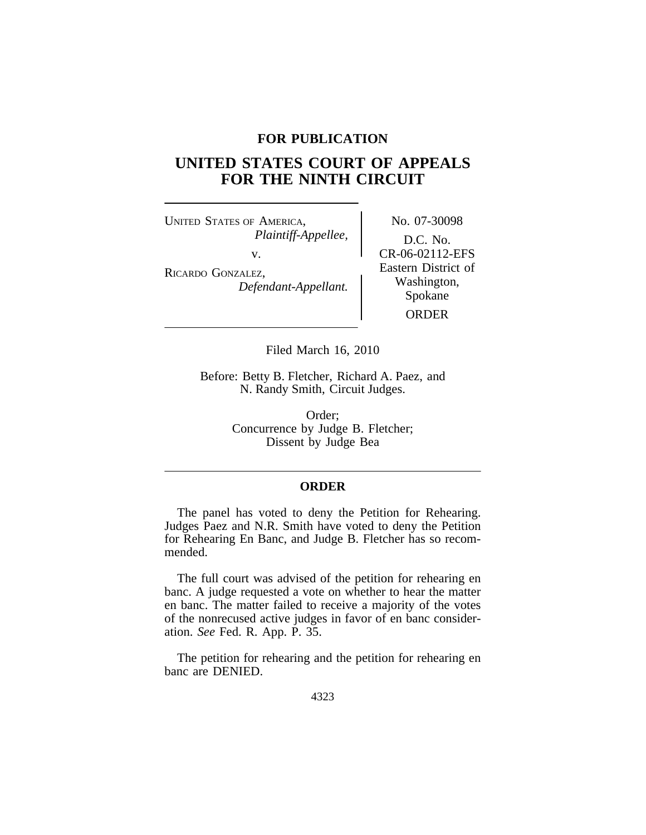## **FOR PUBLICATION**

# **UNITED STATES COURT OF APPEALS FOR THE NINTH CIRCUIT**

UNITED STATES OF AMERICA, No. 07-30098 *Plaintiff-Appellee,* D.C. No.

v.<br>
RICARDO GONZALEZ,<br> *Defendant-Appellant.*<br> *Defendant-Appellant.*<br> *RICARDO GONZALEZ,* Spokane ORDER

Filed March 16, 2010

Before: Betty B. Fletcher, Richard A. Paez, and N. Randy Smith, Circuit Judges.

> Order; Concurrence by Judge B. Fletcher; Dissent by Judge Bea

## **ORDER**

The panel has voted to deny the Petition for Rehearing. Judges Paez and N.R. Smith have voted to deny the Petition for Rehearing En Banc, and Judge B. Fletcher has so recommended.

The full court was advised of the petition for rehearing en banc. A judge requested a vote on whether to hear the matter en banc. The matter failed to receive a majority of the votes of the nonrecused active judges in favor of en banc consideration. *See* Fed. R. App. P. 35.

The petition for rehearing and the petition for rehearing en banc are DENIED.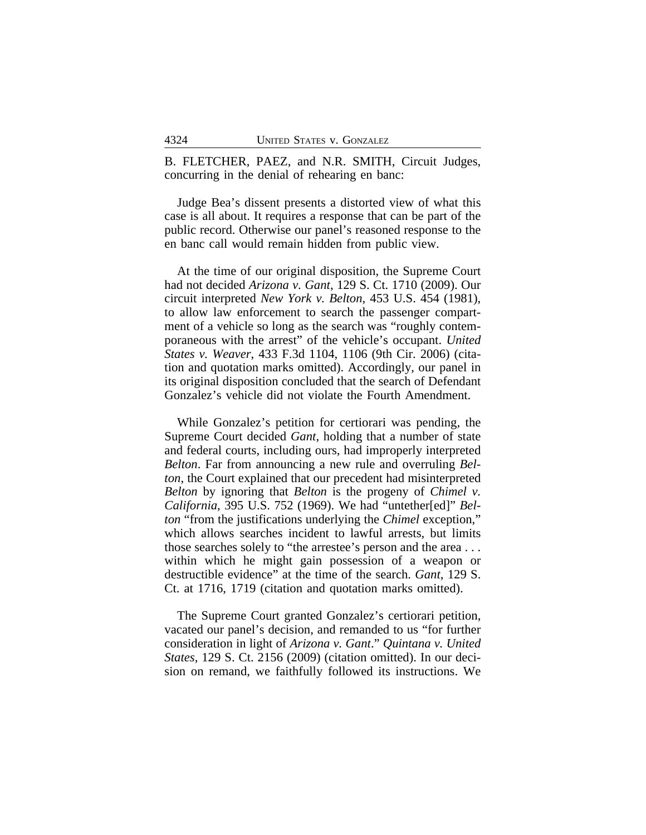B. FLETCHER, PAEZ, and N.R. SMITH, Circuit Judges, concurring in the denial of rehearing en banc:

Judge Bea's dissent presents a distorted view of what this case is all about. It requires a response that can be part of the public record. Otherwise our panel's reasoned response to the en banc call would remain hidden from public view.

At the time of our original disposition, the Supreme Court had not decided *Arizona v. Gant*, 129 S. Ct. 1710 (2009). Our circuit interpreted *New York v. Belton*, 453 U.S. 454 (1981), to allow law enforcement to search the passenger compartment of a vehicle so long as the search was "roughly contemporaneous with the arrest" of the vehicle's occupant. *United States v. Weaver*, 433 F.3d 1104, 1106 (9th Cir. 2006) (citation and quotation marks omitted). Accordingly, our panel in its original disposition concluded that the search of Defendant Gonzalez's vehicle did not violate the Fourth Amendment.

While Gonzalez's petition for certiorari was pending, the Supreme Court decided *Gant*, holding that a number of state and federal courts, including ours, had improperly interpreted *Belton*. Far from announcing a new rule and overruling *Belton*, the Court explained that our precedent had misinterpreted *Belton* by ignoring that *Belton* is the progeny of *Chimel v. California*, 395 U.S. 752 (1969). We had "untether[ed]" *Belton* "from the justifications underlying the *Chimel* exception," which allows searches incident to lawful arrests, but limits those searches solely to "the arrestee's person and the area . . . within which he might gain possession of a weapon or destructible evidence" at the time of the search. *Gant*, 129 S. Ct. at 1716, 1719 (citation and quotation marks omitted).

The Supreme Court granted Gonzalez's certiorari petition, vacated our panel's decision, and remanded to us "for further consideration in light of *Arizona v. Gant*." *Quintana v. United States*, 129 S. Ct. 2156 (2009) (citation omitted). In our decision on remand, we faithfully followed its instructions. We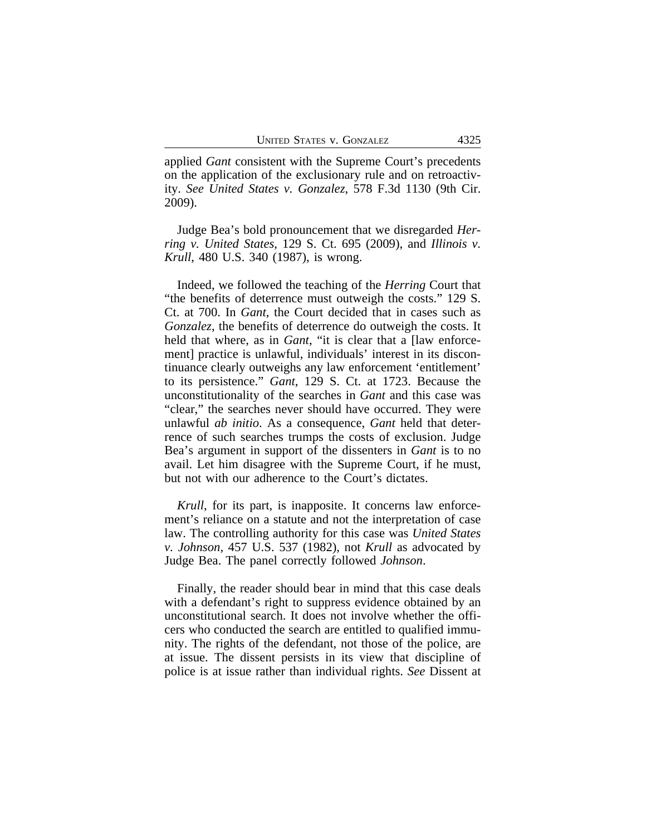applied *Gant* consistent with the Supreme Court's precedents on the application of the exclusionary rule and on retroactivity. *See United States v. Gonzalez*, 578 F.3d 1130 (9th Cir. 2009).

Judge Bea's bold pronouncement that we disregarded *Herring v. United States*, 129 S. Ct. 695 (2009), and *Illinois v. Krull*, 480 U.S. 340 (1987), is wrong.

Indeed, we followed the teaching of the *Herring* Court that "the benefits of deterrence must outweigh the costs." 129 S. Ct. at 700. In *Gant*, the Court decided that in cases such as *Gonzalez*, the benefits of deterrence do outweigh the costs. It held that where, as in *Gant*, "it is clear that a *flaw* enforcement] practice is unlawful, individuals' interest in its discontinuance clearly outweighs any law enforcement 'entitlement' to its persistence." *Gant*, 129 S. Ct. at 1723. Because the unconstitutionality of the searches in *Gant* and this case was "clear," the searches never should have occurred. They were unlawful *ab initio*. As a consequence, *Gant* held that deterrence of such searches trumps the costs of exclusion. Judge Bea's argument in support of the dissenters in *Gant* is to no avail. Let him disagree with the Supreme Court, if he must, but not with our adherence to the Court's dictates.

*Krull*, for its part, is inapposite. It concerns law enforcement's reliance on a statute and not the interpretation of case law. The controlling authority for this case was *United States v. Johnson*, 457 U.S. 537 (1982), not *Krull* as advocated by Judge Bea. The panel correctly followed *Johnson*.

Finally, the reader should bear in mind that this case deals with a defendant's right to suppress evidence obtained by an unconstitutional search. It does not involve whether the officers who conducted the search are entitled to qualified immunity. The rights of the defendant, not those of the police, are at issue. The dissent persists in its view that discipline of police is at issue rather than individual rights. *See* Dissent at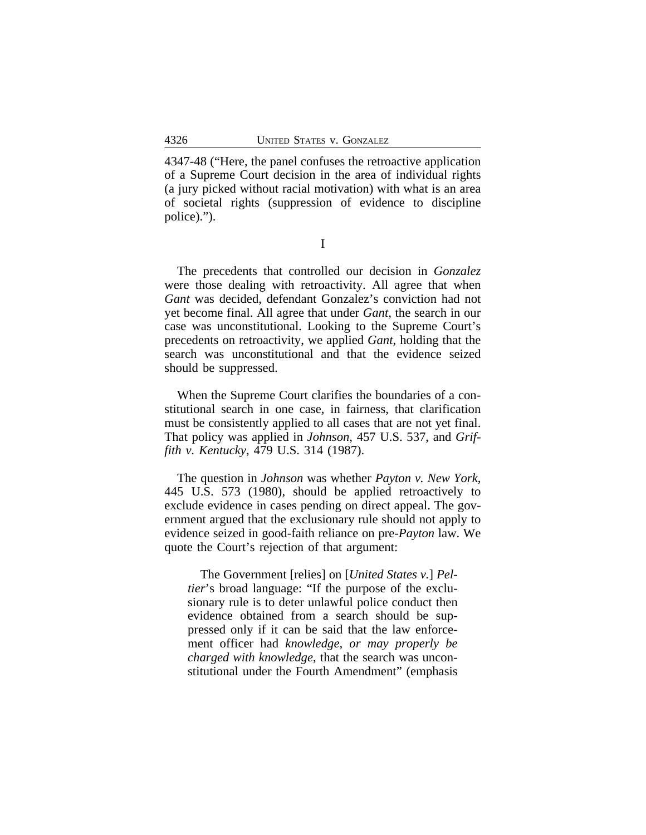4347-48 ("Here, the panel confuses the retroactive application of a Supreme Court decision in the area of individual rights (a jury picked without racial motivation) with what is an area of societal rights (suppression of evidence to discipline police).").

I

The precedents that controlled our decision in *Gonzalez* were those dealing with retroactivity. All agree that when *Gant* was decided, defendant Gonzalez's conviction had not yet become final. All agree that under *Gant*, the search in our case was unconstitutional. Looking to the Supreme Court's precedents on retroactivity, we applied *Gant*, holding that the search was unconstitutional and that the evidence seized should be suppressed.

When the Supreme Court clarifies the boundaries of a constitutional search in one case, in fairness, that clarification must be consistently applied to all cases that are not yet final. That policy was applied in *Johnson*, 457 U.S. 537, and *Griffith v. Kentucky*, 479 U.S. 314 (1987).

The question in *Johnson* was whether *Payton v. New York*, 445 U.S. 573 (1980), should be applied retroactively to exclude evidence in cases pending on direct appeal. The government argued that the exclusionary rule should not apply to evidence seized in good-faith reliance on pre-*Payton* law. We quote the Court's rejection of that argument:

The Government [relies] on [*United States v.*] *Peltier*'s broad language: "If the purpose of the exclusionary rule is to deter unlawful police conduct then evidence obtained from a search should be suppressed only if it can be said that the law enforcement officer had *knowledge, or may properly be charged with knowledge*, that the search was unconstitutional under the Fourth Amendment" (emphasis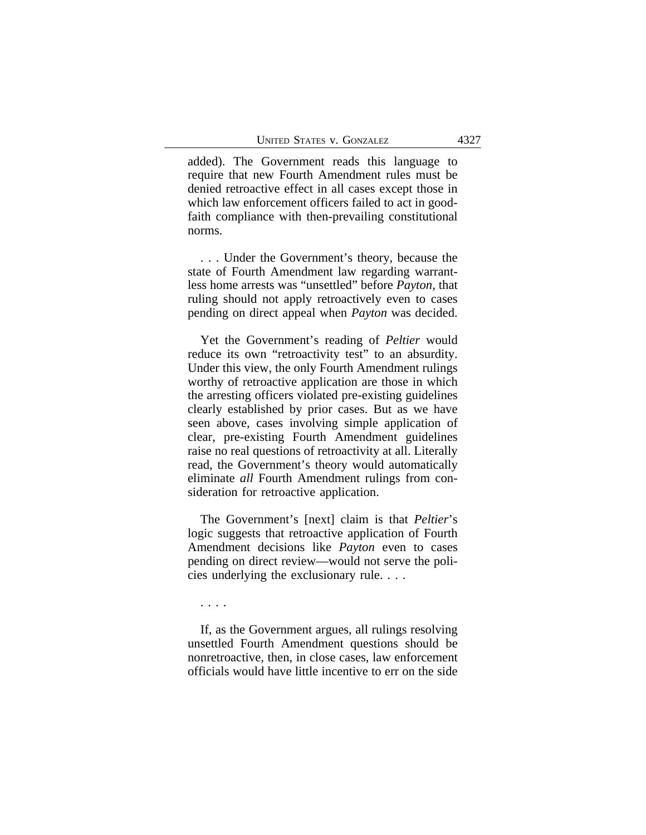added). The Government reads this language to require that new Fourth Amendment rules must be denied retroactive effect in all cases except those in which law enforcement officers failed to act in goodfaith compliance with then-prevailing constitutional norms.

. . . Under the Government's theory, because the state of Fourth Amendment law regarding warrantless home arrests was "unsettled" before *Payton*, that ruling should not apply retroactively even to cases pending on direct appeal when *Payton* was decided.

Yet the Government's reading of *Peltier* would reduce its own "retroactivity test" to an absurdity. Under this view, the only Fourth Amendment rulings worthy of retroactive application are those in which the arresting officers violated pre-existing guidelines clearly established by prior cases. But as we have seen above, cases involving simple application of clear, pre-existing Fourth Amendment guidelines raise no real questions of retroactivity at all. Literally read, the Government's theory would automatically eliminate *all* Fourth Amendment rulings from consideration for retroactive application.

The Government's [next] claim is that *Peltier*'s logic suggests that retroactive application of Fourth Amendment decisions like *Payton* even to cases pending on direct review—would not serve the policies underlying the exclusionary rule. . . .

. . . .

If, as the Government argues, all rulings resolving unsettled Fourth Amendment questions should be nonretroactive, then, in close cases, law enforcement officials would have little incentive to err on the side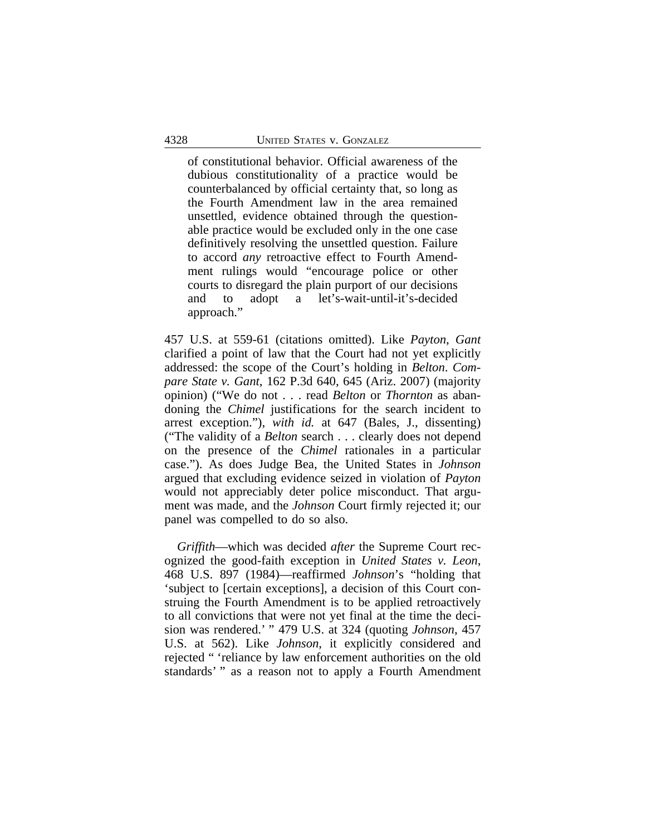of constitutional behavior. Official awareness of the dubious constitutionality of a practice would be counterbalanced by official certainty that, so long as the Fourth Amendment law in the area remained unsettled, evidence obtained through the questionable practice would be excluded only in the one case definitively resolving the unsettled question. Failure to accord *any* retroactive effect to Fourth Amendment rulings would "encourage police or other courts to disregard the plain purport of our decisions and to adopt a let's-wait-until-it's-decided approach."

457 U.S. at 559-61 (citations omitted). Like *Payton*, *Gant* clarified a point of law that the Court had not yet explicitly addressed: the scope of the Court's holding in *Belton*. *Compare State v. Gant*, 162 P.3d 640, 645 (Ariz. 2007) (majority opinion) ("We do not . . . read *Belton* or *Thornton* as abandoning the *Chimel* justifications for the search incident to arrest exception."), *with id.* at 647 (Bales, J., dissenting) ("The validity of a *Belton* search . . . clearly does not depend on the presence of the *Chimel* rationales in a particular case."). As does Judge Bea, the United States in *Johnson* argued that excluding evidence seized in violation of *Payton* would not appreciably deter police misconduct. That argument was made, and the *Johnson* Court firmly rejected it; our panel was compelled to do so also.

*Griffith*—which was decided *after* the Supreme Court recognized the good-faith exception in *United States v. Leon*, 468 U.S. 897 (1984)—reaffirmed *Johnson*'s "holding that 'subject to [certain exceptions], a decision of this Court construing the Fourth Amendment is to be applied retroactively to all convictions that were not yet final at the time the decision was rendered.' " 479 U.S. at 324 (quoting *Johnson*, 457 U.S. at 562). Like *Johnson*, it explicitly considered and rejected " 'reliance by law enforcement authorities on the old standards' " as a reason not to apply a Fourth Amendment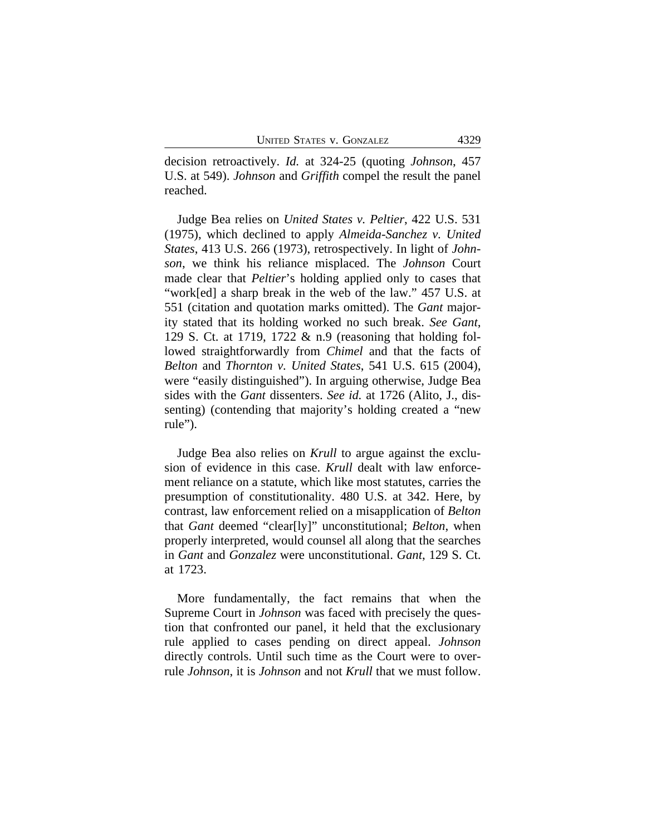decision retroactively. *Id.* at 324-25 (quoting *Johnson*, 457 U.S. at 549). *Johnson* and *Griffith* compel the result the panel reached.

Judge Bea relies on *United States v. Peltier*, 422 U.S. 531 (1975), which declined to apply *Almeida-Sanchez v. United States*, 413 U.S. 266 (1973), retrospectively. In light of *Johnson*, we think his reliance misplaced. The *Johnson* Court made clear that *Peltier*'s holding applied only to cases that "work[ed] a sharp break in the web of the law." 457 U.S. at 551 (citation and quotation marks omitted). The *Gant* majority stated that its holding worked no such break. *See Gant*, 129 S. Ct. at 1719, 1722 & n.9 (reasoning that holding followed straightforwardly from *Chimel* and that the facts of *Belton* and *Thornton v. United States*, 541 U.S. 615 (2004), were "easily distinguished"). In arguing otherwise, Judge Bea sides with the *Gant* dissenters. *See id.* at 1726 (Alito, J., dissenting) (contending that majority's holding created a "new rule").

Judge Bea also relies on *Krull* to argue against the exclusion of evidence in this case. *Krull* dealt with law enforcement reliance on a statute, which like most statutes, carries the presumption of constitutionality. 480 U.S. at 342. Here, by contrast, law enforcement relied on a misapplication of *Belton* that *Gant* deemed "clear[ly]" unconstitutional; *Belton*, when properly interpreted, would counsel all along that the searches in *Gant* and *Gonzalez* were unconstitutional. *Gant*, 129 S. Ct. at 1723.

More fundamentally, the fact remains that when the Supreme Court in *Johnson* was faced with precisely the question that confronted our panel, it held that the exclusionary rule applied to cases pending on direct appeal. *Johnson* directly controls. Until such time as the Court were to overrule *Johnson*, it is *Johnson* and not *Krull* that we must follow.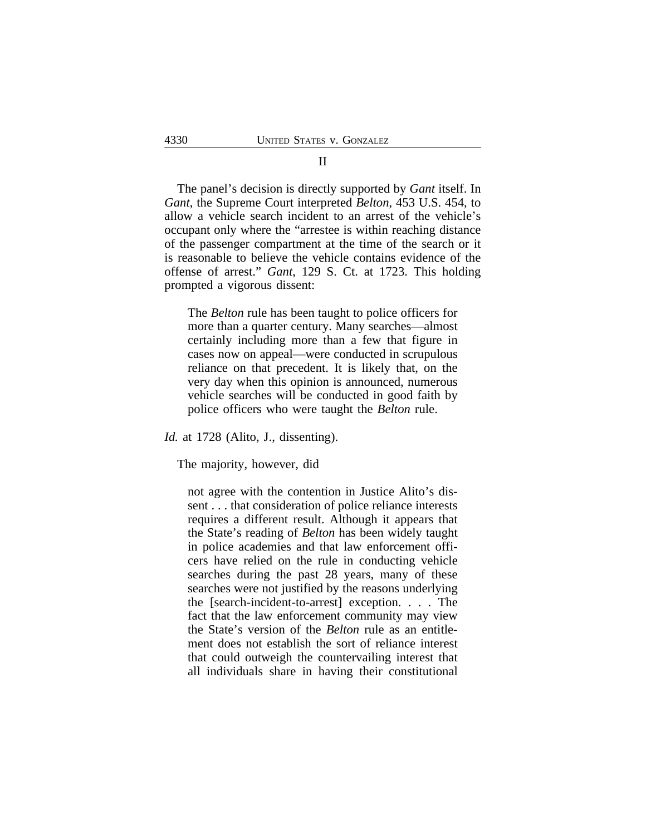# The panel's decision is directly supported by *Gant* itself. In *Gant*, the Supreme Court interpreted *Belton*, 453 U.S. 454, to allow a vehicle search incident to an arrest of the vehicle's occupant only where the "arrestee is within reaching distance of the passenger compartment at the time of the search or it is reasonable to believe the vehicle contains evidence of the offense of arrest." *Gant*, 129 S. Ct. at 1723. This holding

The *Belton* rule has been taught to police officers for more than a quarter century. Many searches—almost certainly including more than a few that figure in cases now on appeal—were conducted in scrupulous reliance on that precedent. It is likely that, on the very day when this opinion is announced, numerous vehicle searches will be conducted in good faith by police officers who were taught the *Belton* rule.

*Id.* at 1728 (Alito, J., dissenting).

prompted a vigorous dissent:

The majority, however, did

not agree with the contention in Justice Alito's dissent . . . that consideration of police reliance interests requires a different result. Although it appears that the State's reading of *Belton* has been widely taught in police academies and that law enforcement officers have relied on the rule in conducting vehicle searches during the past 28 years, many of these searches were not justified by the reasons underlying the [search-incident-to-arrest] exception. . . . The fact that the law enforcement community may view the State's version of the *Belton* rule as an entitlement does not establish the sort of reliance interest that could outweigh the countervailing interest that all individuals share in having their constitutional

# II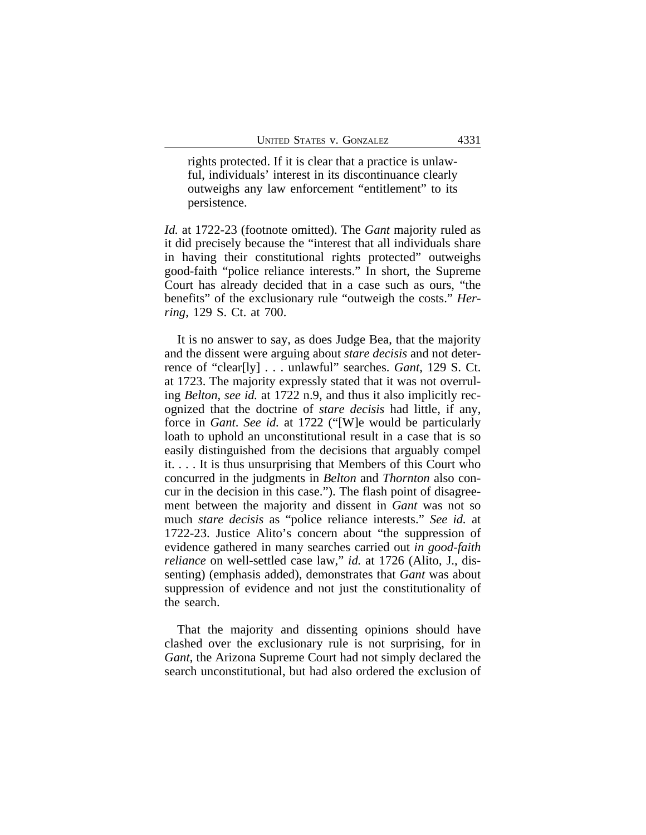rights protected. If it is clear that a practice is unlawful, individuals' interest in its discontinuance clearly outweighs any law enforcement "entitlement" to its persistence.

*Id.* at 1722-23 (footnote omitted). The *Gant* majority ruled as it did precisely because the "interest that all individuals share in having their constitutional rights protected" outweighs good-faith "police reliance interests." In short, the Supreme Court has already decided that in a case such as ours, "the benefits" of the exclusionary rule "outweigh the costs." *Herring*, 129 S. Ct. at 700.

It is no answer to say, as does Judge Bea, that the majority and the dissent were arguing about *stare decisis* and not deterrence of "clear[ly] . . . unlawful" searches. *Gant*, 129 S. Ct. at 1723. The majority expressly stated that it was not overruling *Belton*, *see id.* at 1722 n.9, and thus it also implicitly recognized that the doctrine of *stare decisis* had little, if any, force in *Gant*. *See id.* at 1722 ("[W]e would be particularly loath to uphold an unconstitutional result in a case that is so easily distinguished from the decisions that arguably compel it. . . . It is thus unsurprising that Members of this Court who concurred in the judgments in *Belton* and *Thornton* also concur in the decision in this case."). The flash point of disagreement between the majority and dissent in *Gant* was not so much *stare decisis* as "police reliance interests." *See id.* at 1722-23. Justice Alito's concern about "the suppression of evidence gathered in many searches carried out *in good-faith reliance* on well-settled case law," *id.* at 1726 (Alito, J., dissenting) (emphasis added), demonstrates that *Gant* was about suppression of evidence and not just the constitutionality of the search.

That the majority and dissenting opinions should have clashed over the exclusionary rule is not surprising, for in *Gant*, the Arizona Supreme Court had not simply declared the search unconstitutional, but had also ordered the exclusion of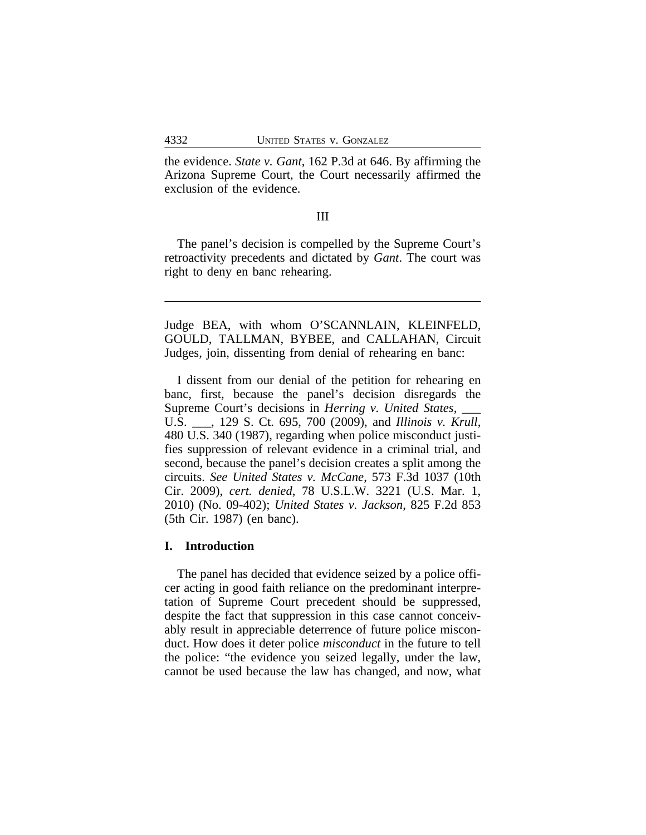the evidence. *State v. Gant*, 162 P.3d at 646. By affirming the Arizona Supreme Court, the Court necessarily affirmed the exclusion of the evidence.

#### III

The panel's decision is compelled by the Supreme Court's retroactivity precedents and dictated by *Gant*. The court was right to deny en banc rehearing.

Judge BEA, with whom O'SCANNLAIN, KLEINFELD, GOULD, TALLMAN, BYBEE, and CALLAHAN, Circuit Judges, join, dissenting from denial of rehearing en banc:

I dissent from our denial of the petition for rehearing en banc, first, because the panel's decision disregards the Supreme Court's decisions in *Herring v. United States*, \_\_\_ U.S. \_\_\_, 129 S. Ct. 695, 700 (2009), and *Illinois v. Krull*, 480 U.S. 340 (1987), regarding when police misconduct justifies suppression of relevant evidence in a criminal trial, and second, because the panel's decision creates a split among the circuits. *See United States v. McCane*, 573 F.3d 1037 (10th Cir. 2009), *cert. denied*, 78 U.S.L.W. 3221 (U.S. Mar. 1, 2010) (No. 09-402); *United States v. Jackson*, 825 F.2d 853 (5th Cir. 1987) (en banc).

### **I. Introduction**

The panel has decided that evidence seized by a police officer acting in good faith reliance on the predominant interpretation of Supreme Court precedent should be suppressed, despite the fact that suppression in this case cannot conceivably result in appreciable deterrence of future police misconduct. How does it deter police *misconduct* in the future to tell the police: "the evidence you seized legally, under the law, cannot be used because the law has changed, and now, what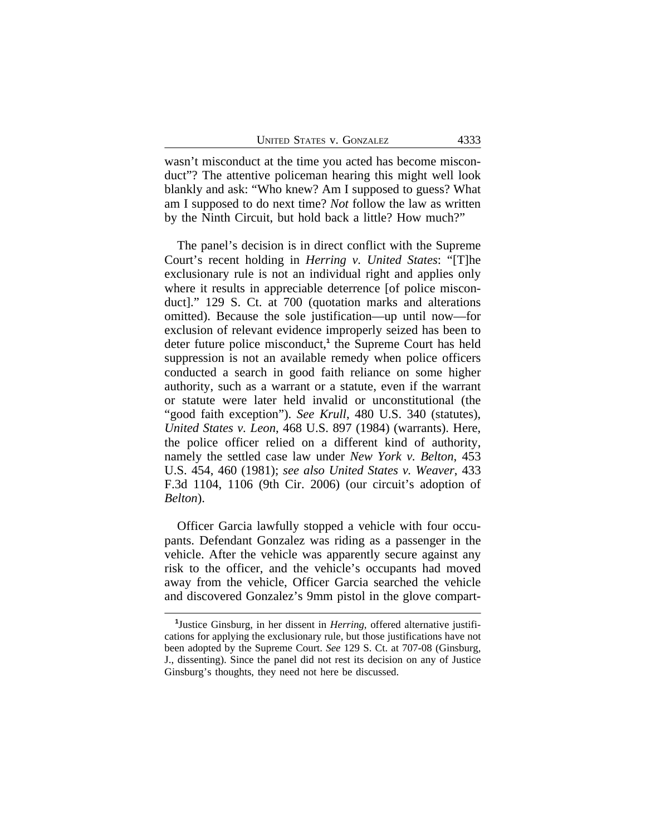wasn't misconduct at the time you acted has become misconduct"? The attentive policeman hearing this might well look blankly and ask: "Who knew? Am I supposed to guess? What am I supposed to do next time? *Not* follow the law as written by the Ninth Circuit, but hold back a little? How much?"

The panel's decision is in direct conflict with the Supreme Court's recent holding in *Herring v. United States*: "[T]he exclusionary rule is not an individual right and applies only where it results in appreciable deterrence [of police misconduct]." 129 S. Ct. at 700 (quotation marks and alterations omitted). Because the sole justification—up until now—for exclusion of relevant evidence improperly seized has been to deter future police misconduct,<sup>1</sup> the Supreme Court has held suppression is not an available remedy when police officers conducted a search in good faith reliance on some higher authority, such as a warrant or a statute, even if the warrant or statute were later held invalid or unconstitutional (the "good faith exception"). *See Krull*, 480 U.S. 340 (statutes), *United States v. Leon*, 468 U.S. 897 (1984) (warrants). Here, the police officer relied on a different kind of authority, namely the settled case law under *New York v. Belton*, 453 U.S. 454, 460 (1981); *see also United States v. Weaver*, 433 F.3d 1104, 1106 (9th Cir. 2006) (our circuit's adoption of *Belton*).

Officer Garcia lawfully stopped a vehicle with four occupants. Defendant Gonzalez was riding as a passenger in the vehicle. After the vehicle was apparently secure against any risk to the officer, and the vehicle's occupants had moved away from the vehicle, Officer Garcia searched the vehicle and discovered Gonzalez's 9mm pistol in the glove compart-

**<sup>1</sup>** Justice Ginsburg, in her dissent in *Herring*, offered alternative justifications for applying the exclusionary rule, but those justifications have not been adopted by the Supreme Court. *See* 129 S. Ct. at 707-08 (Ginsburg, J., dissenting). Since the panel did not rest its decision on any of Justice Ginsburg's thoughts, they need not here be discussed.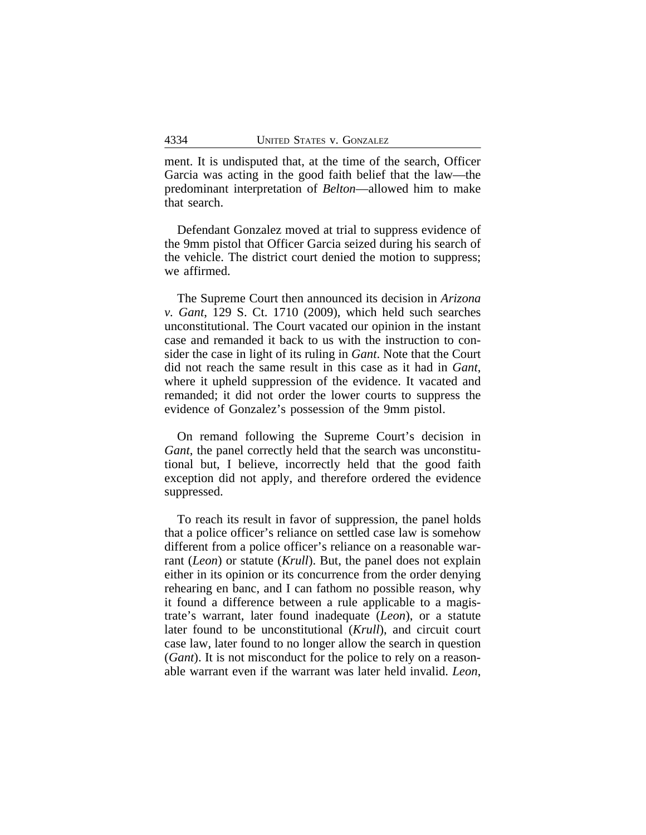ment. It is undisputed that, at the time of the search, Officer Garcia was acting in the good faith belief that the law—the predominant interpretation of *Belton*—allowed him to make that search.

Defendant Gonzalez moved at trial to suppress evidence of the 9mm pistol that Officer Garcia seized during his search of the vehicle. The district court denied the motion to suppress; we affirmed.

The Supreme Court then announced its decision in *Arizona v. Gant*, 129 S. Ct. 1710 (2009), which held such searches unconstitutional. The Court vacated our opinion in the instant case and remanded it back to us with the instruction to consider the case in light of its ruling in *Gant*. Note that the Court did not reach the same result in this case as it had in *Gant*, where it upheld suppression of the evidence. It vacated and remanded; it did not order the lower courts to suppress the evidence of Gonzalez's possession of the 9mm pistol.

On remand following the Supreme Court's decision in *Gant*, the panel correctly held that the search was unconstitutional but, I believe, incorrectly held that the good faith exception did not apply, and therefore ordered the evidence suppressed.

To reach its result in favor of suppression, the panel holds that a police officer's reliance on settled case law is somehow different from a police officer's reliance on a reasonable warrant (*Leon*) or statute (*Krull*). But, the panel does not explain either in its opinion or its concurrence from the order denying rehearing en banc, and I can fathom no possible reason, why it found a difference between a rule applicable to a magistrate's warrant, later found inadequate (*Leon*), or a statute later found to be unconstitutional (*Krull*), and circuit court case law, later found to no longer allow the search in question (*Gant*). It is not misconduct for the police to rely on a reasonable warrant even if the warrant was later held invalid. *Leon*,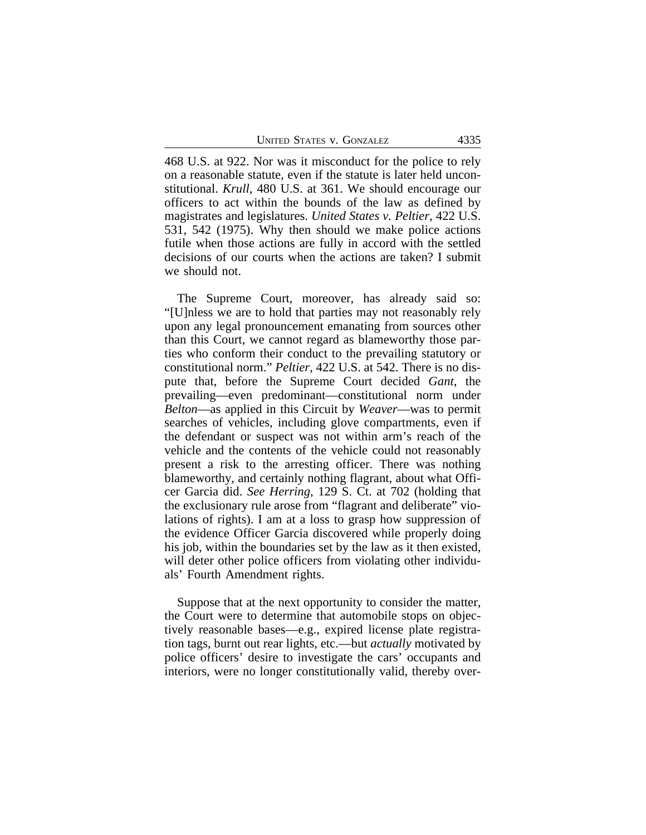UNITED STATES V. GONZALEZ 4335

468 U.S. at 922. Nor was it misconduct for the police to rely on a reasonable statute, even if the statute is later held unconstitutional. *Krull*, 480 U.S. at 361. We should encourage our officers to act within the bounds of the law as defined by magistrates and legislatures. *United States v. Peltier*, 422 U.S. 531, 542 (1975). Why then should we make police actions futile when those actions are fully in accord with the settled decisions of our courts when the actions are taken? I submit we should not.

The Supreme Court, moreover, has already said so: "[U]nless we are to hold that parties may not reasonably rely upon any legal pronouncement emanating from sources other than this Court, we cannot regard as blameworthy those parties who conform their conduct to the prevailing statutory or constitutional norm." *Peltier*, 422 U.S. at 542. There is no dispute that, before the Supreme Court decided *Gant*, the prevailing—even predominant—constitutional norm under *Belton*—as applied in this Circuit by *Weaver*—was to permit searches of vehicles, including glove compartments, even if the defendant or suspect was not within arm's reach of the vehicle and the contents of the vehicle could not reasonably present a risk to the arresting officer. There was nothing blameworthy, and certainly nothing flagrant, about what Officer Garcia did. *See Herring*, 129 S. Ct. at 702 (holding that the exclusionary rule arose from "flagrant and deliberate" violations of rights). I am at a loss to grasp how suppression of the evidence Officer Garcia discovered while properly doing his job, within the boundaries set by the law as it then existed, will deter other police officers from violating other individuals' Fourth Amendment rights.

Suppose that at the next opportunity to consider the matter, the Court were to determine that automobile stops on objectively reasonable bases—e.g., expired license plate registration tags, burnt out rear lights, etc.—but *actually* motivated by police officers' desire to investigate the cars' occupants and interiors, were no longer constitutionally valid, thereby over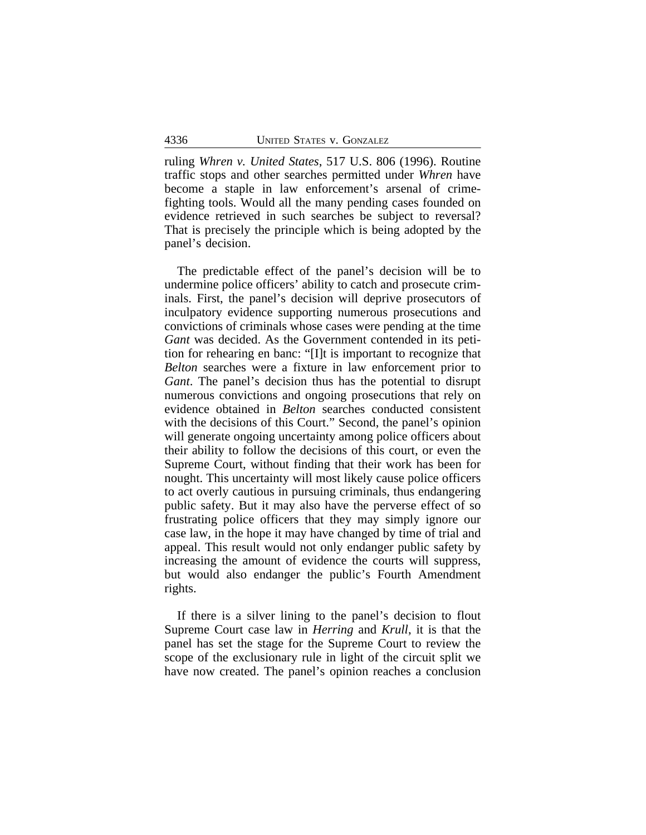ruling *Whren v. United States*, 517 U.S. 806 (1996). Routine traffic stops and other searches permitted under *Whren* have become a staple in law enforcement's arsenal of crimefighting tools. Would all the many pending cases founded on evidence retrieved in such searches be subject to reversal? That is precisely the principle which is being adopted by the panel's decision.

The predictable effect of the panel's decision will be to undermine police officers' ability to catch and prosecute criminals. First, the panel's decision will deprive prosecutors of inculpatory evidence supporting numerous prosecutions and convictions of criminals whose cases were pending at the time *Gant* was decided. As the Government contended in its petition for rehearing en banc: "[I]t is important to recognize that *Belton* searches were a fixture in law enforcement prior to *Gant*. The panel's decision thus has the potential to disrupt numerous convictions and ongoing prosecutions that rely on evidence obtained in *Belton* searches conducted consistent with the decisions of this Court." Second, the panel's opinion will generate ongoing uncertainty among police officers about their ability to follow the decisions of this court, or even the Supreme Court, without finding that their work has been for nought. This uncertainty will most likely cause police officers to act overly cautious in pursuing criminals, thus endangering public safety. But it may also have the perverse effect of so frustrating police officers that they may simply ignore our case law, in the hope it may have changed by time of trial and appeal. This result would not only endanger public safety by increasing the amount of evidence the courts will suppress, but would also endanger the public's Fourth Amendment rights.

If there is a silver lining to the panel's decision to flout Supreme Court case law in *Herring* and *Krull*, it is that the panel has set the stage for the Supreme Court to review the scope of the exclusionary rule in light of the circuit split we have now created. The panel's opinion reaches a conclusion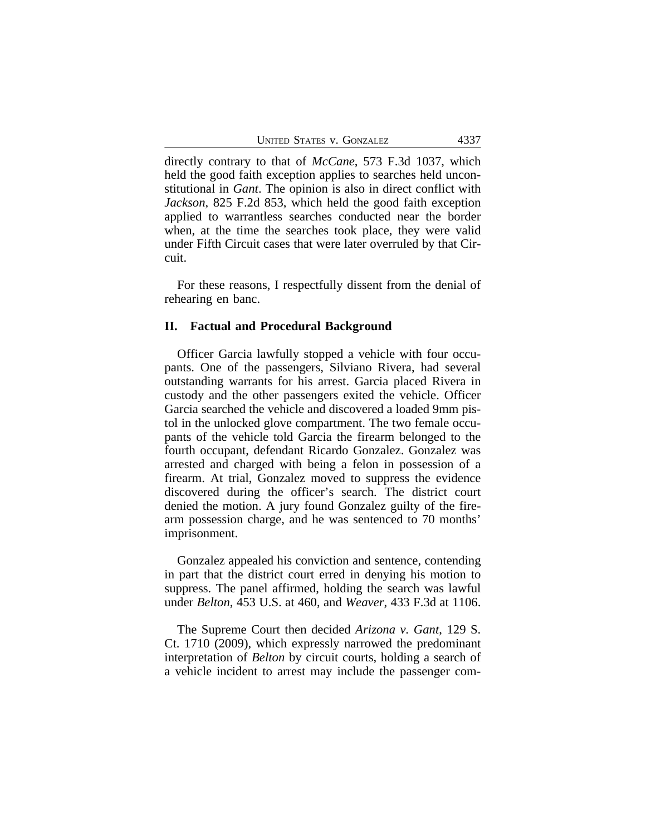directly contrary to that of *McCane*, 573 F.3d 1037, which held the good faith exception applies to searches held unconstitutional in *Gant*. The opinion is also in direct conflict with *Jackson*, 825 F.2d 853, which held the good faith exception applied to warrantless searches conducted near the border when, at the time the searches took place, they were valid under Fifth Circuit cases that were later overruled by that Circuit.

For these reasons, I respectfully dissent from the denial of rehearing en banc.

#### **II. Factual and Procedural Background**

Officer Garcia lawfully stopped a vehicle with four occupants. One of the passengers, Silviano Rivera, had several outstanding warrants for his arrest. Garcia placed Rivera in custody and the other passengers exited the vehicle. Officer Garcia searched the vehicle and discovered a loaded 9mm pistol in the unlocked glove compartment. The two female occupants of the vehicle told Garcia the firearm belonged to the fourth occupant, defendant Ricardo Gonzalez. Gonzalez was arrested and charged with being a felon in possession of a firearm. At trial, Gonzalez moved to suppress the evidence discovered during the officer's search. The district court denied the motion. A jury found Gonzalez guilty of the firearm possession charge, and he was sentenced to 70 months' imprisonment.

Gonzalez appealed his conviction and sentence, contending in part that the district court erred in denying his motion to suppress. The panel affirmed, holding the search was lawful under *Belton*, 453 U.S. at 460, and *Weaver*, 433 F.3d at 1106.

The Supreme Court then decided *Arizona v. Gant*, 129 S. Ct. 1710 (2009), which expressly narrowed the predominant interpretation of *Belton* by circuit courts, holding a search of a vehicle incident to arrest may include the passenger com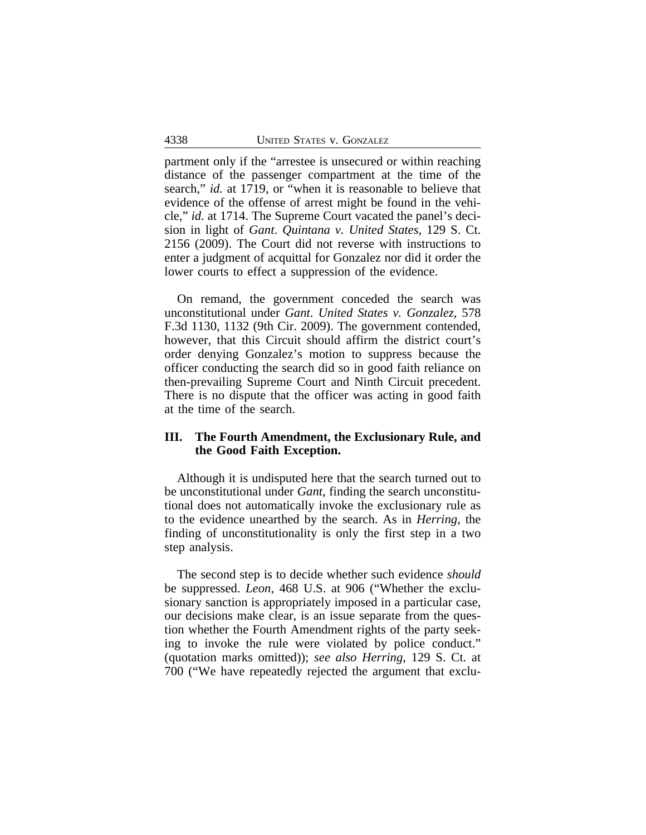partment only if the "arrestee is unsecured or within reaching distance of the passenger compartment at the time of the search," *id.* at 1719, or "when it is reasonable to believe that evidence of the offense of arrest might be found in the vehicle," *id.* at 1714. The Supreme Court vacated the panel's decision in light of *Gant*. *Quintana v. United States*, 129 S. Ct. 2156 (2009). The Court did not reverse with instructions to enter a judgment of acquittal for Gonzalez nor did it order the lower courts to effect a suppression of the evidence.

On remand, the government conceded the search was unconstitutional under *Gant*. *United States v. Gonzalez*, 578 F.3d 1130, 1132 (9th Cir. 2009). The government contended, however, that this Circuit should affirm the district court's order denying Gonzalez's motion to suppress because the officer conducting the search did so in good faith reliance on then-prevailing Supreme Court and Ninth Circuit precedent. There is no dispute that the officer was acting in good faith at the time of the search.

### **III. The Fourth Amendment, the Exclusionary Rule, and the Good Faith Exception.**

Although it is undisputed here that the search turned out to be unconstitutional under *Gant*, finding the search unconstitutional does not automatically invoke the exclusionary rule as to the evidence unearthed by the search. As in *Herring*, the finding of unconstitutionality is only the first step in a two step analysis.

The second step is to decide whether such evidence *should* be suppressed. *Leon*, 468 U.S. at 906 ("Whether the exclusionary sanction is appropriately imposed in a particular case, our decisions make clear, is an issue separate from the question whether the Fourth Amendment rights of the party seeking to invoke the rule were violated by police conduct." (quotation marks omitted)); *see also Herring*, 129 S. Ct. at 700 ("We have repeatedly rejected the argument that exclu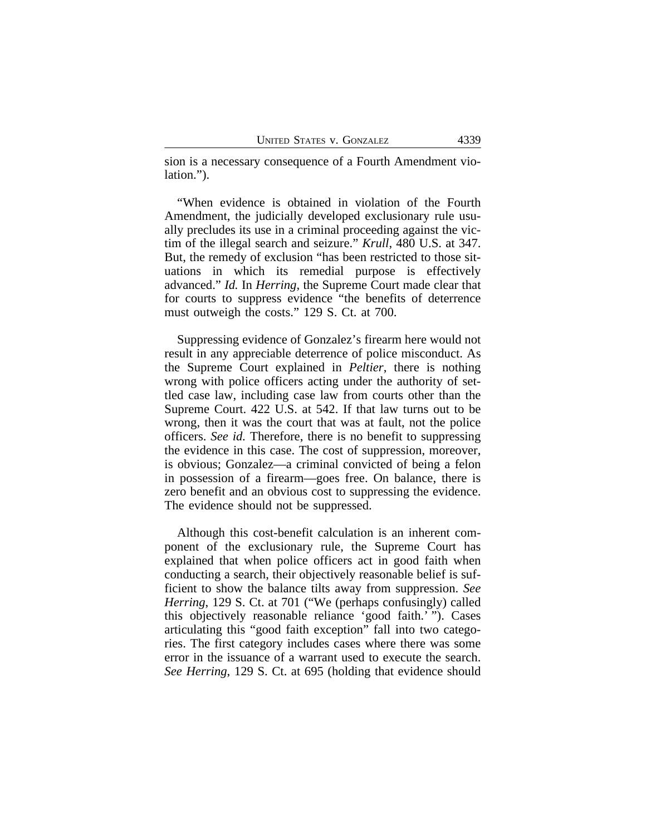sion is a necessary consequence of a Fourth Amendment violation.").

"When evidence is obtained in violation of the Fourth Amendment, the judicially developed exclusionary rule usually precludes its use in a criminal proceeding against the victim of the illegal search and seizure." *Krull*, 480 U.S. at 347. But, the remedy of exclusion "has been restricted to those situations in which its remedial purpose is effectively advanced." *Id.* In *Herring*, the Supreme Court made clear that for courts to suppress evidence "the benefits of deterrence must outweigh the costs." 129 S. Ct. at 700.

Suppressing evidence of Gonzalez's firearm here would not result in any appreciable deterrence of police misconduct. As the Supreme Court explained in *Peltier*, there is nothing wrong with police officers acting under the authority of settled case law, including case law from courts other than the Supreme Court. 422 U.S. at 542. If that law turns out to be wrong, then it was the court that was at fault, not the police officers. *See id.* Therefore, there is no benefit to suppressing the evidence in this case. The cost of suppression, moreover, is obvious; Gonzalez—a criminal convicted of being a felon in possession of a firearm—goes free. On balance, there is zero benefit and an obvious cost to suppressing the evidence. The evidence should not be suppressed.

Although this cost-benefit calculation is an inherent component of the exclusionary rule, the Supreme Court has explained that when police officers act in good faith when conducting a search, their objectively reasonable belief is sufficient to show the balance tilts away from suppression. *See Herring*, 129 S. Ct. at 701 ("We (perhaps confusingly) called this objectively reasonable reliance 'good faith.' "). Cases articulating this "good faith exception" fall into two categories. The first category includes cases where there was some error in the issuance of a warrant used to execute the search. *See Herring*, 129 S. Ct. at 695 (holding that evidence should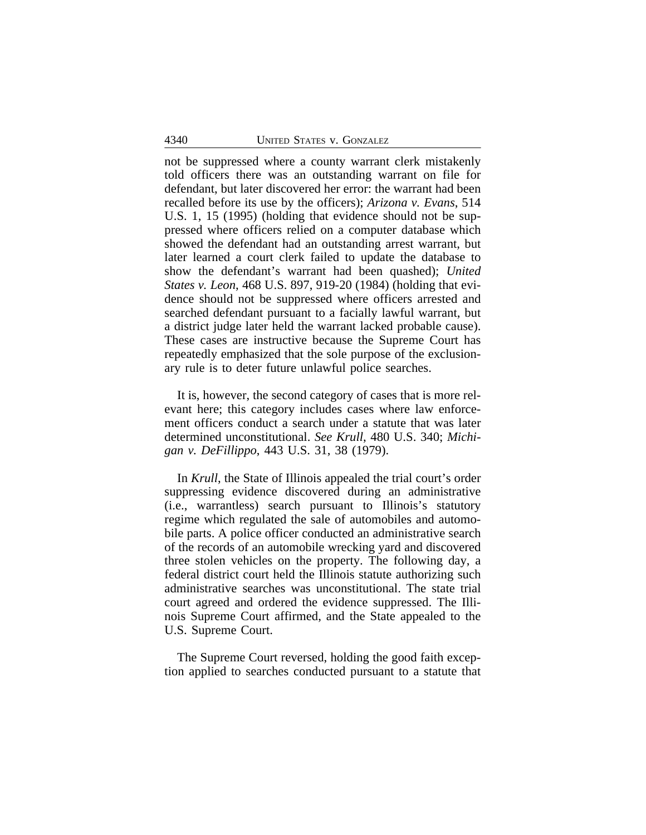not be suppressed where a county warrant clerk mistakenly told officers there was an outstanding warrant on file for defendant, but later discovered her error: the warrant had been recalled before its use by the officers); *Arizona v. Evans*, 514 U.S. 1, 15 (1995) (holding that evidence should not be suppressed where officers relied on a computer database which showed the defendant had an outstanding arrest warrant, but later learned a court clerk failed to update the database to show the defendant's warrant had been quashed); *United States v. Leon*, 468 U.S. 897, 919-20 (1984) (holding that evidence should not be suppressed where officers arrested and searched defendant pursuant to a facially lawful warrant, but a district judge later held the warrant lacked probable cause). These cases are instructive because the Supreme Court has repeatedly emphasized that the sole purpose of the exclusionary rule is to deter future unlawful police searches.

It is, however, the second category of cases that is more relevant here; this category includes cases where law enforcement officers conduct a search under a statute that was later determined unconstitutional. *See Krull*, 480 U.S. 340; *Michigan v. DeFillippo*, 443 U.S. 31, 38 (1979).

In *Krull*, the State of Illinois appealed the trial court's order suppressing evidence discovered during an administrative (i.e., warrantless) search pursuant to Illinois's statutory regime which regulated the sale of automobiles and automobile parts. A police officer conducted an administrative search of the records of an automobile wrecking yard and discovered three stolen vehicles on the property. The following day, a federal district court held the Illinois statute authorizing such administrative searches was unconstitutional. The state trial court agreed and ordered the evidence suppressed. The Illinois Supreme Court affirmed, and the State appealed to the U.S. Supreme Court.

The Supreme Court reversed, holding the good faith exception applied to searches conducted pursuant to a statute that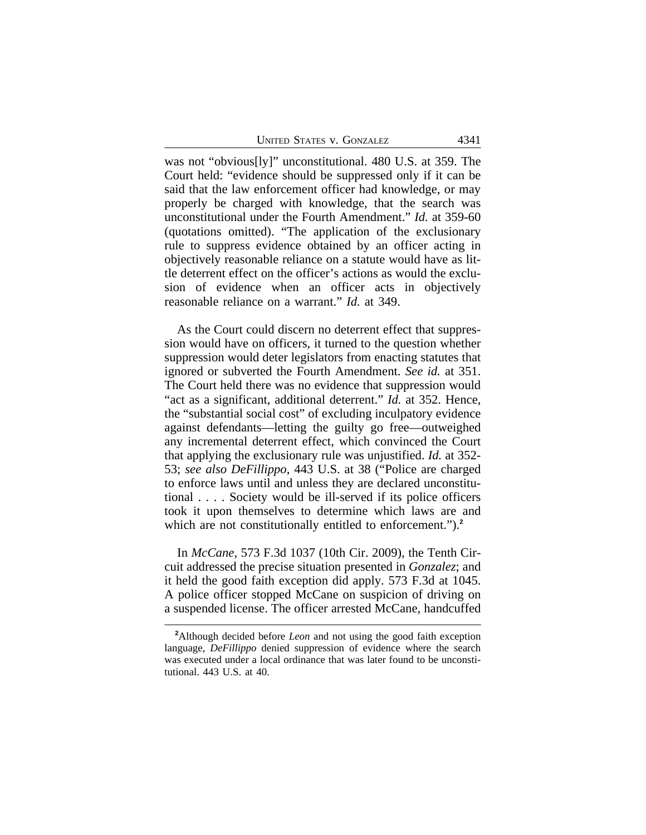UNITED STATES V. GONZALEZ 4341

was not "obvious[ly]" unconstitutional. 480 U.S. at 359. The Court held: "evidence should be suppressed only if it can be said that the law enforcement officer had knowledge, or may properly be charged with knowledge, that the search was unconstitutional under the Fourth Amendment." *Id.* at 359-60 (quotations omitted). "The application of the exclusionary rule to suppress evidence obtained by an officer acting in objectively reasonable reliance on a statute would have as little deterrent effect on the officer's actions as would the exclusion of evidence when an officer acts in objectively reasonable reliance on a warrant." *Id.* at 349.

As the Court could discern no deterrent effect that suppression would have on officers, it turned to the question whether suppression would deter legislators from enacting statutes that ignored or subverted the Fourth Amendment. *See id.* at 351. The Court held there was no evidence that suppression would "act as a significant, additional deterrent." *Id.* at 352. Hence, the "substantial social cost" of excluding inculpatory evidence against defendants—letting the guilty go free—outweighed any incremental deterrent effect, which convinced the Court that applying the exclusionary rule was unjustified. *Id.* at 352- 53; *see also DeFillippo*, 443 U.S. at 38 ("Police are charged to enforce laws until and unless they are declared unconstitutional . . . . Society would be ill-served if its police officers took it upon themselves to determine which laws are and which are not constitutionally entitled to enforcement.").<sup>2</sup>

In *McCane*, 573 F.3d 1037 (10th Cir. 2009), the Tenth Circuit addressed the precise situation presented in *Gonzalez*; and it held the good faith exception did apply. 573 F.3d at 1045. A police officer stopped McCane on suspicion of driving on a suspended license. The officer arrested McCane, handcuffed

**<sup>2</sup>**Although decided before *Leon* and not using the good faith exception language, *DeFillippo* denied suppression of evidence where the search was executed under a local ordinance that was later found to be unconstitutional. 443 U.S. at 40.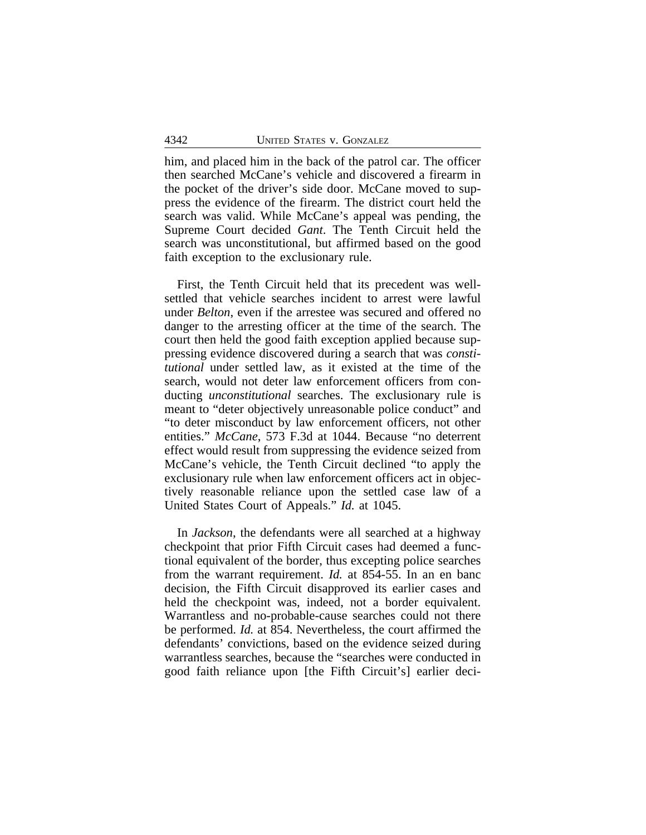him, and placed him in the back of the patrol car. The officer then searched McCane's vehicle and discovered a firearm in the pocket of the driver's side door. McCane moved to suppress the evidence of the firearm. The district court held the search was valid. While McCane's appeal was pending, the Supreme Court decided *Gant*. The Tenth Circuit held the search was unconstitutional, but affirmed based on the good faith exception to the exclusionary rule.

First, the Tenth Circuit held that its precedent was wellsettled that vehicle searches incident to arrest were lawful under *Belton*, even if the arrestee was secured and offered no danger to the arresting officer at the time of the search. The court then held the good faith exception applied because suppressing evidence discovered during a search that was *constitutional* under settled law, as it existed at the time of the search, would not deter law enforcement officers from conducting *unconstitutional* searches. The exclusionary rule is meant to "deter objectively unreasonable police conduct" and "to deter misconduct by law enforcement officers, not other entities." *McCane*, 573 F.3d at 1044. Because "no deterrent effect would result from suppressing the evidence seized from McCane's vehicle, the Tenth Circuit declined "to apply the exclusionary rule when law enforcement officers act in objectively reasonable reliance upon the settled case law of a United States Court of Appeals." *Id.* at 1045.

In *Jackson*, the defendants were all searched at a highway checkpoint that prior Fifth Circuit cases had deemed a functional equivalent of the border, thus excepting police searches from the warrant requirement. *Id.* at 854-55. In an en banc decision, the Fifth Circuit disapproved its earlier cases and held the checkpoint was, indeed, not a border equivalent. Warrantless and no-probable-cause searches could not there be performed. *Id.* at 854. Nevertheless, the court affirmed the defendants' convictions, based on the evidence seized during warrantless searches, because the "searches were conducted in good faith reliance upon [the Fifth Circuit's] earlier deci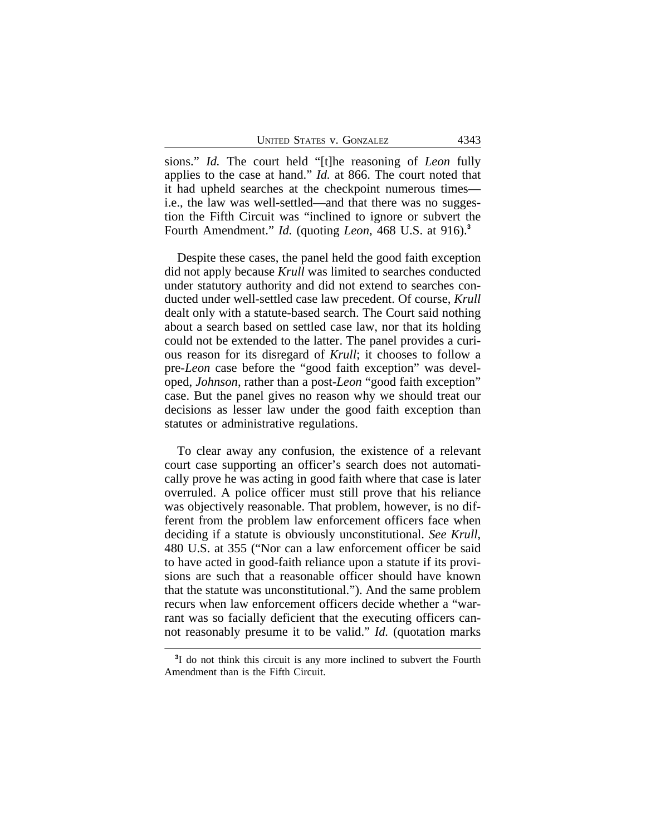sions." *Id.* The court held "[t]he reasoning of *Leon* fully applies to the case at hand." *Id.* at 866. The court noted that it had upheld searches at the checkpoint numerous times i.e., the law was well-settled—and that there was no suggestion the Fifth Circuit was "inclined to ignore or subvert the Fourth Amendment." *Id.* (quoting *Leon*, 468 U.S. at 916).**<sup>3</sup>**

Despite these cases, the panel held the good faith exception did not apply because *Krull* was limited to searches conducted under statutory authority and did not extend to searches conducted under well-settled case law precedent. Of course, *Krull* dealt only with a statute-based search. The Court said nothing about a search based on settled case law, nor that its holding could not be extended to the latter. The panel provides a curious reason for its disregard of *Krull*; it chooses to follow a pre-*Leon* case before the "good faith exception" was developed, *Johnson*, rather than a post-*Leon* "good faith exception" case. But the panel gives no reason why we should treat our decisions as lesser law under the good faith exception than statutes or administrative regulations.

To clear away any confusion, the existence of a relevant court case supporting an officer's search does not automatically prove he was acting in good faith where that case is later overruled. A police officer must still prove that his reliance was objectively reasonable. That problem, however, is no different from the problem law enforcement officers face when deciding if a statute is obviously unconstitutional. *See Krull*, 480 U.S. at 355 ("Nor can a law enforcement officer be said to have acted in good-faith reliance upon a statute if its provisions are such that a reasonable officer should have known that the statute was unconstitutional."). And the same problem recurs when law enforcement officers decide whether a "warrant was so facially deficient that the executing officers cannot reasonably presume it to be valid." *Id.* (quotation marks

<sup>&</sup>lt;sup>3</sup>I do not think this circuit is any more inclined to subvert the Fourth Amendment than is the Fifth Circuit.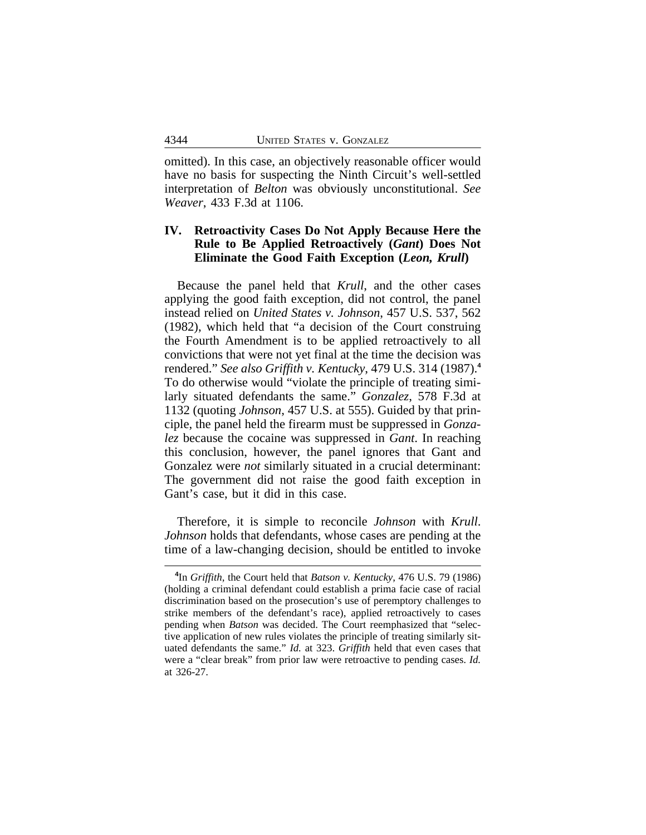omitted). In this case, an objectively reasonable officer would have no basis for suspecting the Ninth Circuit's well-settled interpretation of *Belton* was obviously unconstitutional. *See Weaver*, 433 F.3d at 1106.

## **IV. Retroactivity Cases Do Not Apply Because Here the Rule to Be Applied Retroactively (***Gant***) Does Not Eliminate the Good Faith Exception (***Leon, Krull***)**

Because the panel held that *Krull*, and the other cases applying the good faith exception, did not control, the panel instead relied on *United States v. Johnson*, 457 U.S. 537, 562 (1982), which held that "a decision of the Court construing the Fourth Amendment is to be applied retroactively to all convictions that were not yet final at the time the decision was rendered." *See also Griffith v. Kentucky*, 479 U.S. 314 (1987).**<sup>4</sup>** To do otherwise would "violate the principle of treating similarly situated defendants the same." *Gonzalez*, 578 F.3d at 1132 (quoting *Johnson*, 457 U.S. at 555). Guided by that principle, the panel held the firearm must be suppressed in *Gonzalez* because the cocaine was suppressed in *Gant*. In reaching this conclusion, however, the panel ignores that Gant and Gonzalez were *not* similarly situated in a crucial determinant: The government did not raise the good faith exception in Gant's case, but it did in this case.

Therefore, it is simple to reconcile *Johnson* with *Krull*. *Johnson* holds that defendants, whose cases are pending at the time of a law-changing decision, should be entitled to invoke

**<sup>4</sup>** In *Griffith*, the Court held that *Batson v. Kentucky*, 476 U.S. 79 (1986) (holding a criminal defendant could establish a prima facie case of racial discrimination based on the prosecution's use of peremptory challenges to strike members of the defendant's race), applied retroactively to cases pending when *Batson* was decided. The Court reemphasized that "selective application of new rules violates the principle of treating similarly situated defendants the same." *Id.* at 323. *Griffith* held that even cases that were a "clear break" from prior law were retroactive to pending cases. *Id.* at 326-27.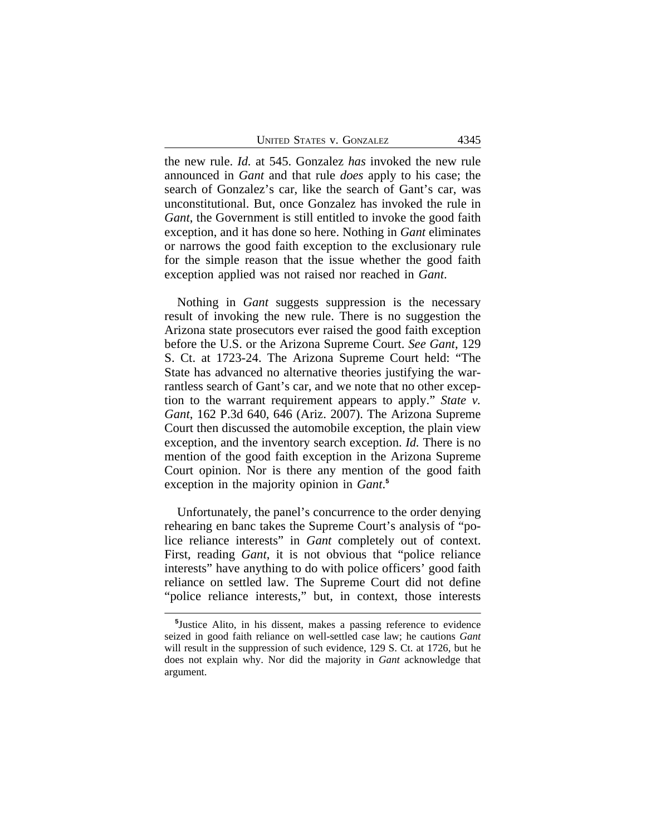UNITED STATES V. GONZALEZ 4345

the new rule. *Id.* at 545. Gonzalez *has* invoked the new rule announced in *Gant* and that rule *does* apply to his case; the search of Gonzalez's car, like the search of Gant's car, was unconstitutional. But, once Gonzalez has invoked the rule in *Gant*, the Government is still entitled to invoke the good faith exception, and it has done so here. Nothing in *Gant* eliminates or narrows the good faith exception to the exclusionary rule for the simple reason that the issue whether the good faith exception applied was not raised nor reached in *Gant*.

Nothing in *Gant* suggests suppression is the necessary result of invoking the new rule. There is no suggestion the Arizona state prosecutors ever raised the good faith exception before the U.S. or the Arizona Supreme Court. *See Gant*, 129 S. Ct. at 1723-24. The Arizona Supreme Court held: "The State has advanced no alternative theories justifying the warrantless search of Gant's car, and we note that no other exception to the warrant requirement appears to apply." *State v. Gant*, 162 P.3d 640, 646 (Ariz. 2007). The Arizona Supreme Court then discussed the automobile exception, the plain view exception, and the inventory search exception. *Id.* There is no mention of the good faith exception in the Arizona Supreme Court opinion. Nor is there any mention of the good faith exception in the majority opinion in *Gant*. **5**

Unfortunately, the panel's concurrence to the order denying rehearing en banc takes the Supreme Court's analysis of "police reliance interests" in *Gant* completely out of context. First, reading *Gant*, it is not obvious that "police reliance interests" have anything to do with police officers' good faith reliance on settled law. The Supreme Court did not define "police reliance interests," but, in context, those interests

**<sup>5</sup>** Justice Alito, in his dissent, makes a passing reference to evidence seized in good faith reliance on well-settled case law; he cautions *Gant* will result in the suppression of such evidence, 129 S. Ct. at 1726, but he does not explain why. Nor did the majority in *Gant* acknowledge that argument.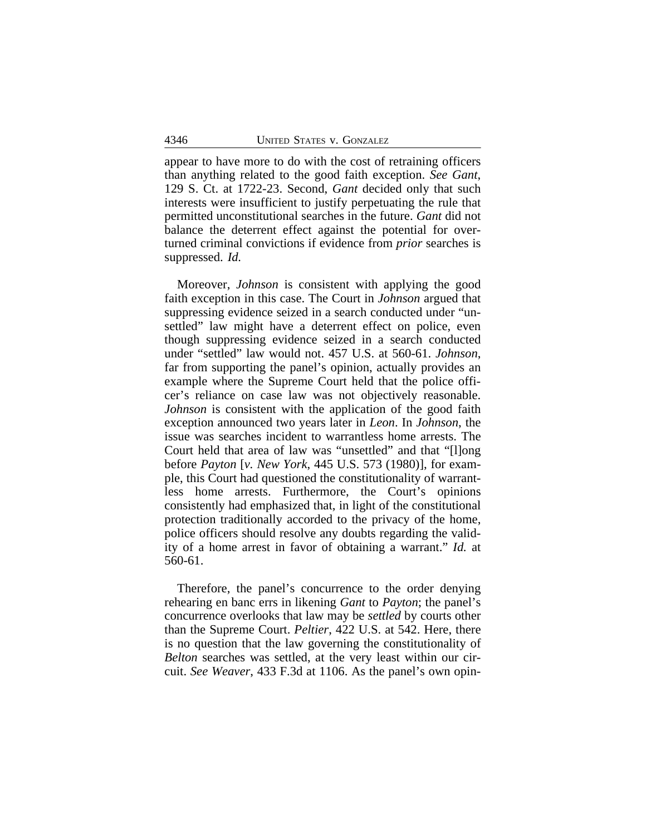appear to have more to do with the cost of retraining officers than anything related to the good faith exception. *See Gant*, 129 S. Ct. at 1722-23. Second, *Gant* decided only that such interests were insufficient to justify perpetuating the rule that permitted unconstitutional searches in the future. *Gant* did not balance the deterrent effect against the potential for overturned criminal convictions if evidence from *prior* searches is suppressed. *Id.*

Moreover, *Johnson* is consistent with applying the good faith exception in this case. The Court in *Johnson* argued that suppressing evidence seized in a search conducted under "unsettled" law might have a deterrent effect on police, even though suppressing evidence seized in a search conducted under "settled" law would not. 457 U.S. at 560-61. *Johnson*, far from supporting the panel's opinion, actually provides an example where the Supreme Court held that the police officer's reliance on case law was not objectively reasonable. *Johnson* is consistent with the application of the good faith exception announced two years later in *Leon*. In *Johnson*, the issue was searches incident to warrantless home arrests. The Court held that area of law was "unsettled" and that "[l]ong before *Payton* [*v. New York*, 445 U.S. 573 (1980)], for example, this Court had questioned the constitutionality of warrantless home arrests. Furthermore, the Court's opinions consistently had emphasized that, in light of the constitutional protection traditionally accorded to the privacy of the home, police officers should resolve any doubts regarding the validity of a home arrest in favor of obtaining a warrant." *Id.* at 560-61.

Therefore, the panel's concurrence to the order denying rehearing en banc errs in likening *Gant* to *Payton*; the panel's concurrence overlooks that law may be *settled* by courts other than the Supreme Court. *Peltier*, 422 U.S. at 542. Here, there is no question that the law governing the constitutionality of *Belton* searches was settled, at the very least within our circuit. *See Weaver*, 433 F.3d at 1106. As the panel's own opin-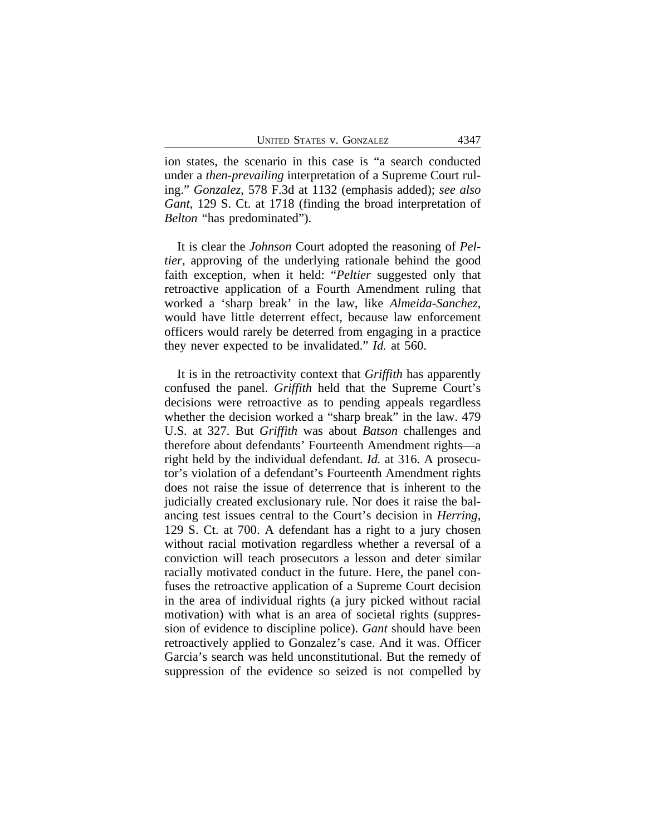ion states, the scenario in this case is "a search conducted under a *then-prevailing* interpretation of a Supreme Court ruling." *Gonzalez*, 578 F.3d at 1132 (emphasis added); *see also Gant*, 129 S. Ct. at 1718 (finding the broad interpretation of *Belton* "has predominated").

It is clear the *Johnson* Court adopted the reasoning of *Peltier*, approving of the underlying rationale behind the good faith exception, when it held: "*Peltier* suggested only that retroactive application of a Fourth Amendment ruling that worked a 'sharp break' in the law, like *Almeida-Sanchez*, would have little deterrent effect, because law enforcement officers would rarely be deterred from engaging in a practice they never expected to be invalidated." *Id.* at 560.

It is in the retroactivity context that *Griffith* has apparently confused the panel. *Griffith* held that the Supreme Court's decisions were retroactive as to pending appeals regardless whether the decision worked a "sharp break" in the law. 479 U.S. at 327. But *Griffith* was about *Batson* challenges and therefore about defendants' Fourteenth Amendment rights—a right held by the individual defendant. *Id.* at 316. A prosecutor's violation of a defendant's Fourteenth Amendment rights does not raise the issue of deterrence that is inherent to the judicially created exclusionary rule. Nor does it raise the balancing test issues central to the Court's decision in *Herring*, 129 S. Ct. at 700. A defendant has a right to a jury chosen without racial motivation regardless whether a reversal of a conviction will teach prosecutors a lesson and deter similar racially motivated conduct in the future. Here, the panel confuses the retroactive application of a Supreme Court decision in the area of individual rights (a jury picked without racial motivation) with what is an area of societal rights (suppression of evidence to discipline police). *Gant* should have been retroactively applied to Gonzalez's case. And it was. Officer Garcia's search was held unconstitutional. But the remedy of suppression of the evidence so seized is not compelled by